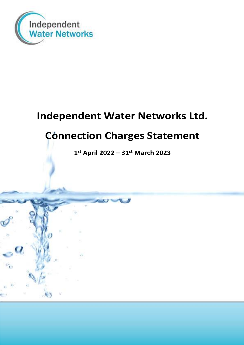

# **Independent Water Networks Ltd.**

# **Connection Charges Statement**

**1 st April 2022 – 31st March 2023**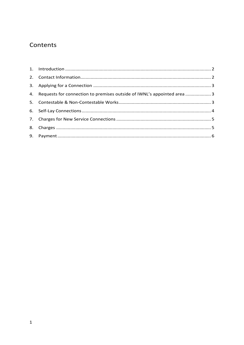## Contents

| 4. Requests for connection to premises outside of IWNL's appointed area  3 |  |
|----------------------------------------------------------------------------|--|
|                                                                            |  |
|                                                                            |  |
|                                                                            |  |
|                                                                            |  |
|                                                                            |  |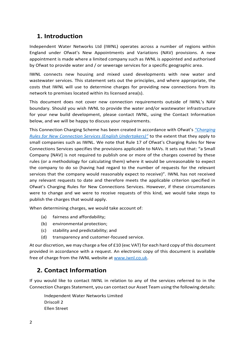#### <span id="page-2-0"></span>**1. Introduction**

Independent Water Networks Ltd (IWNL) operates across a number of regions within England under Ofwat's New Appointments and Variations (NAV) provisions. A new appointment is made where a limited company such as IWNL is appointed and authorised by Ofwat to provide water and / or sewerage services for a specific geographic area.

IWNL connects new housing and mixed used developments with new water and wastewater services. This statement sets out the principles, and where appropriate, the costs that IWNL will use to determine charges for providing new connections from its network to premises located within its licensed area(s).

This document does not cover new connection requirements outside of IWNL's NAV boundary. Should you wish IWNL to provide the water and/or wastewater infrastructure for your new build development, please contact IWNL, using the Contact Information below, and we will be happy to discuss your requirements.

This Connection Charging Scheme has been created in accordance with Ofwat's *"[Charging](https://www.ofwat.gov.uk/wp-content/uploads/2021/10/Charging_Rules_For_New_Connection_Services_Effective_April_2022.pdf)  [Rules for New Connection Services \(English Undertakers\)](https://www.ofwat.gov.uk/wp-content/uploads/2021/10/Charging_Rules_For_New_Connection_Services_Effective_April_2022.pdf)"* to the extent that they apply to small companies such as IWNL. We note that Rule 17 of Ofwat's Charging Rules for New Connections Services specifies the provisions applicable to NAVs. It sets out that: "a Small Company [NAV] is not required to publish one or more of the charges covered by these rules (or a methodology for calculating them) where it would be unreasonable to expect the company to do so (having had regard to the number of requests for the relevant services that the company would reasonably expect to receive)". IWNL has not received any relevant requests to date and therefore meets the applicable criterion specified in Ofwat's Charging Rules for New Connections Services. However, if these circumstances were to change and we were to receive requests of this kind, we would take steps to publish the charges that would apply.

When determining charges, we would take account of:

- (a) fairness and affordability;
- (b) environmental protection;
- (c) stability and predictability; and
- (d) transparency and customer-focused service.

At our discretion, we may charge a fee of £10 (exc VAT) for each hard copy of this document provided in accordance with a request. An electronic copy of this document is available free of charge from the IWNL website at [www.iwnl.co.uk.](http://www.iwnl.co.uk/)

#### <span id="page-2-1"></span>**2. Contact Information**

If you would like to contact IWNL in relation to any of the services referred to in the Connection Charges Statement, you can contact our Asset Team using the following details:

Independent Water Networks Limited Driscoll 2 Ellen Street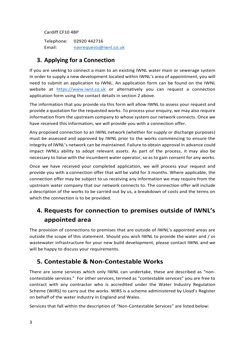Cardiff CF10 4BP

Telephone: 02920 442716 Email: [navrequests@iwnl.co.uk](mailto:navrequests@iwnl.co.uk) 

#### <span id="page-3-0"></span>**3. Applying for a Connection**

If you are seeking to connect a main to an existing IWNL water main or sewerage system in order to supply a new development located within IWNL's area of appointment, you will need to submit an application to IWNL. An application form can be found on the IWNL website at [https://www.iwnl.co.uk](https://www.iwnl.co.uk/) or alternatively you can request a connection application form using the contact details in section 2 above.

The information that you provide via this form will allow IWNL to assess your request and provide a quotation for the requested works. To process your enquiry, we may also require information from the upstream company to whose system our network connects. Once we have received this information, we will provide you with a connection offer.

Any proposed connection to an IWNL network (whether for supply or discharge purposes) must be assessed and approved by IWNL prior to the works commencing to ensure the integrity of IWNL's network can be maintained. Failure to obtain approval in advance could impact IWNLs ability to adopt relevant assets. As part of the process, it may also be necessary to liaise with the incumbent water operator, so as to gain consent for any works.

Once we have received your completed application, we will process your request and provide you with a connection offer that will be valid for 3 months. Where applicable, the connection offer may be subject to us receiving any information we may require from the upstream water company that our network connects to. The connection offer will include a description of the works to be carried out by us, a breakdown of costs and the terms on which the connection is to be provided.

## <span id="page-3-1"></span>**4. Requests for connection to premises outside of IWNL's appointed area**

The provision of connections to premises that are outside of IWNL's appointed areas are outside the scope of this statement. Should you wish IWNL to provide the water and / or wastewater infrastructure for your new build development, please contact IWNL and we will be happy to discuss your requirements.

#### <span id="page-3-2"></span>**5. Contestable & Non-Contestable Works**

There are some services which only IWNL can undertake, these are described as "noncontestable services." For other services, termed as "contestable services" you are free to contract with any contractor who is accredited under the Water Industry Regulation Scheme (WIRS) to carry out the works. WIRS is a scheme administered by Lloyd's Register on behalf of the water industry in England and Wales.

Services that fall within the description of "Non-Contestable Services" are listed below: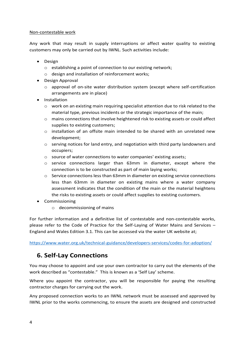#### Non-contestable work

Any work that may result in supply interruptions or affect water quality to existing customers may only be carried out by IWNL. Such activities include:

- Design
	- o establishing a point of connection to our existing network;
	- o design and installation of reinforcement works;
- Design Approval
	- o approval of on-site water distribution system (except where self-certification arrangements are in place)
- Installation
	- $\circ$  work on an existing main requiring specialist attention due to risk related to the material type, previous incidents or the strategic importance of the main;
	- $\circ$  mains connections that involve heightened risk to existing assets or could affect supplies to existing customers;
	- o installation of an offsite main intended to be shared with an unrelated new development;
	- $\circ$  serving notices for land entry, and negotiation with third party landowners and occupiers;
	- o source of water connections to water companies' existing assets;
	- $\circ$  service connections larger than 63mm in diameter, except where the connection is to be constructed as part of main laying works;
	- $\circ$  Service connections less than 63mm in diameter on existing service connections less than 63mm in diameter on existing mains where a water company assessment indicates that the condition of the main or the material heightens the risks to existing assets or could affect supplies to existing customers.
- Commissioning
	- o decommissioning of mains

For further information and a definitive list of contestable and non-contestable works, please refer to the Code of Practice for the Self-Laying of Water Mains and Services – England and Wales Edition 3.1. This can be accessed via the water UK website at;

<https://www.water.org.uk/technical-guidance/developers-services/codes-for-adoption/>

#### <span id="page-4-0"></span>**6. Self-Lay Connections**

You may choose to appoint and use your own contractor to carry out the elements of the work described as "contestable." This is known as a 'Self Lay' scheme.

Where you appoint the contractor, you will be responsible for paying the resulting contractor charges for carrying out the work.

Any proposed connection works to an IWNL network must be assessed and approved by IWNL prior to the works commencing, to ensure the assets are designed and constructed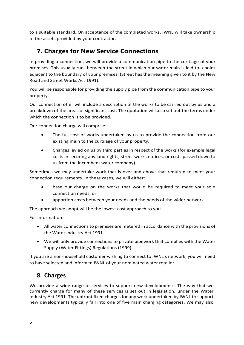to a suitable standard. On acceptance of the completed works, IWNL will take ownership of the assets provided by your contractor.

### <span id="page-5-0"></span>**7. Charges for New Service Connections**

In providing a connection, we will provide a communication pipe to the curtilage of your premises. This usually runs between the street in which our water main is laid to a point adjacent to the boundary of your premises. (Street has the meaning given to it by the New Road and Street Works Act 1991).

You will be responsible for providing the supply pipe from the communication pipe to your property.

Our connection offer will include a description of the works to be carried out by us and a breakdown of the areas of significant cost. The quotation will also set out the terms under which the connection is to be provided.

Our connection charge will comprise:

- The full cost of works undertaken by us to provide the connection from our existing main to the curtilage of your property.
- Charges levied on us by third parties in respect of the works (for example legal costs in securing any land rights, street works notices, or costs passed down to us from the incumbent water company).

Sometimes we may undertake work that is over and above that required to meet your connection requirements. In these cases, we will either:

- base our charge on the works that would be required to meet your sole connection needs; or
- apportion costs between your needs and the needs of the wider network.

The approach we adopt will be the lowest cost approach to you.

For information:

- All water connections to premises are metered in accordance with the provisions of the Water Industry Act 1991.
- We will only provide connections to private pipework that complies with the Water Supply (Water Fittings) Regulations (1999).

If you are a non-household customer wishing to connect to IWNL's network, you will need to have selected and informed IWNL of your nominated water retailer.

#### <span id="page-5-1"></span>**8. Charges**

We provide a wide range of services to support new developments. The way that we currently charge for many of these services is set out in legislation, under the Water Industry Act 1991. The upfront fixed charges for any work undertaken by IWNL to support new developments typically fall into one of five main charging categories. We may also